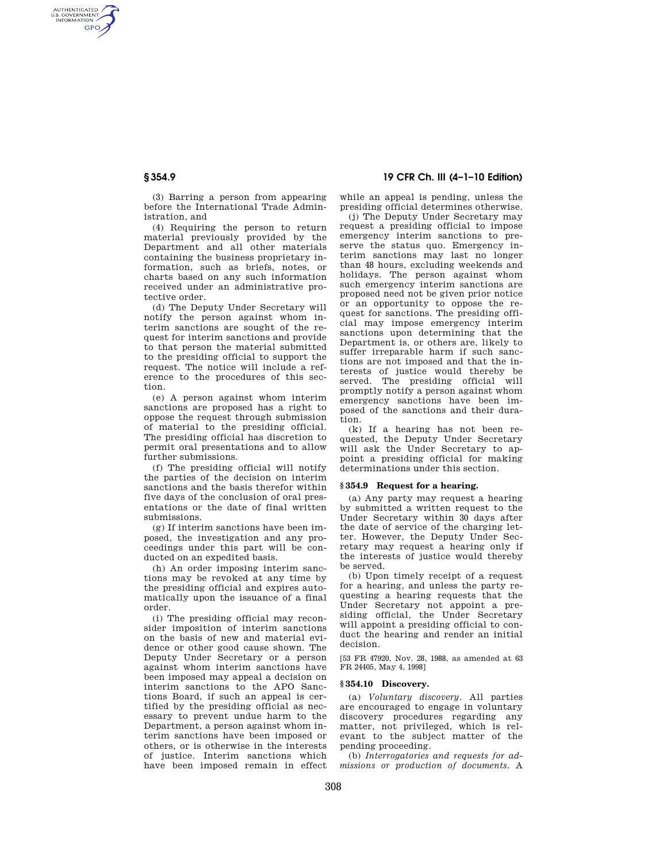AUTHENTICATED<br>U.S. GOVERNMENT<br>INFORMATION **GPO** 

> (3) Barring a person from appearing before the International Trade Administration, and

> (4) Requiring the person to return material previously provided by the Department and all other materials containing the business proprietary information, such as briefs, notes, or charts based on any such information received under an administrative protective order.

> (d) The Deputy Under Secretary will notify the person against whom interim sanctions are sought of the request for interim sanctions and provide to that person the material submitted to the presiding official to support the request. The notice will include a reference to the procedures of this section.

> (e) A person against whom interim sanctions are proposed has a right to oppose the request through submission of material to the presiding official. The presiding official has discretion to permit oral presentations and to allow further submissions.

> (f) The presiding official will notify the parties of the decision on interim sanctions and the basis therefor within five days of the conclusion of oral presentations or the date of final written submissions.

> (g) If interim sanctions have been imposed, the investigation and any proceedings under this part will be conducted on an expedited basis.

> (h) An order imposing interim sanctions may be revoked at any time by the presiding official and expires automatically upon the issuance of a final order.

> (i) The presiding official may reconsider imposition of interim sanctions on the basis of new and material evidence or other good cause shown. The Deputy Under Secretary or a person against whom interim sanctions have been imposed may appeal a decision on interim sanctions to the APO Sanctions Board, if such an appeal is certified by the presiding official as necessary to prevent undue harm to the Department, a person against whom interim sanctions have been imposed or others, or is otherwise in the interests of justice. Interim sanctions which have been imposed remain in effect

# **§ 354.9 19 CFR Ch. III (4–1–10 Edition)**

while an appeal is pending, unless the presiding official determines otherwise.

(j) The Deputy Under Secretary may request a presiding official to impose emergency interim sanctions to preserve the status quo. Emergency interim sanctions may last no longer than 48 hours, excluding weekends and holidays. The person against whom such emergency interim sanctions are proposed need not be given prior notice or an opportunity to oppose the request for sanctions. The presiding official may impose emergency interim sanctions upon determining that the Department is, or others are, likely to suffer irreparable harm if such sanctions are not imposed and that the interests of justice would thereby be served. The presiding official will promptly notify a person against whom emergency sanctions have been imposed of the sanctions and their duration.

(k) If a hearing has not been requested, the Deputy Under Secretary will ask the Under Secretary to appoint a presiding official for making determinations under this section.

# **§ 354.9 Request for a hearing.**

(a) Any party may request a hearing by submitted a written request to the Under Secretary within 30 days after the date of service of the charging letter. However, the Deputy Under Secretary may request a hearing only if the interests of justice would thereby be served.

(b) Upon timely receipt of a request for a hearing, and unless the party requesting a hearing requests that the Under Secretary not appoint a presiding official, the Under Secretary will appoint a presiding official to conduct the hearing and render an initial decision.

[53 FR 47920, Nov. 28, 1988, as amended at 63 FR 24405, May 4, 1998]

## **§ 354.10 Discovery.**

(a) *Voluntary discovery.* All parties are encouraged to engage in voluntary discovery procedures regarding any matter, not privileged, which is relevant to the subject matter of the pending proceeding.

(b) *Interrogatories and requests for admissions or production of documents.* A